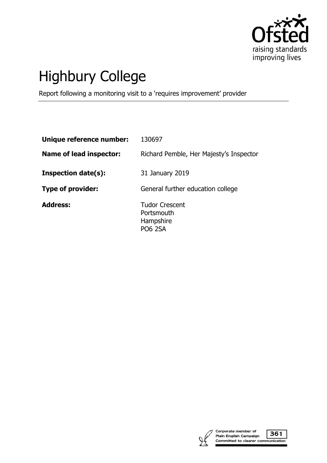

# Highbury College

Report following a monitoring visit to a 'requires improvement' provider

| Unique reference number:       | 130697                                                             |
|--------------------------------|--------------------------------------------------------------------|
| <b>Name of lead inspector:</b> | Richard Pemble, Her Majesty's Inspector                            |
| <b>Inspection date(s):</b>     | 31 January 2019                                                    |
| Type of provider:              | General further education college                                  |
| <b>Address:</b>                | <b>Tudor Crescent</b><br>Portsmouth<br>Hampshire<br><b>PO6 2SA</b> |



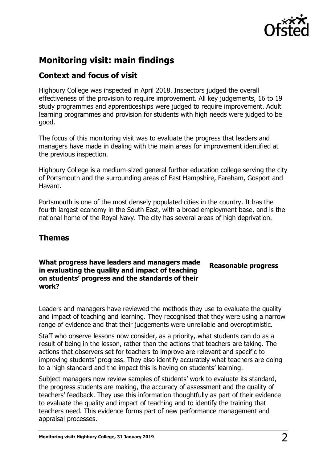

# **Monitoring visit: main findings**

## **Context and focus of visit**

Highbury College was inspected in April 2018. Inspectors judged the overall effectiveness of the provision to require improvement. All key judgements, 16 to 19 study programmes and apprenticeships were judged to require improvement. Adult learning programmes and provision for students with high needs were judged to be good.

The focus of this monitoring visit was to evaluate the progress that leaders and managers have made in dealing with the main areas for improvement identified at the previous inspection.

Highbury College is a medium-sized general further education college serving the city of Portsmouth and the surrounding areas of East Hampshire, Fareham, Gosport and Havant.

Portsmouth is one of the most densely populated cities in the country. It has the fourth largest economy in the South East, with a broad employment base, and is the national home of the Royal Navy. The city has several areas of high deprivation.

## **Themes**

## **What progress have leaders and managers made in evaluating the quality and impact of teaching on students' progress and the standards of their work?**

**Reasonable progress**

Leaders and managers have reviewed the methods they use to evaluate the quality and impact of teaching and learning. They recognised that they were using a narrow range of evidence and that their judgements were unreliable and overoptimistic.

Staff who observe lessons now consider, as a priority, what students can do as a result of being in the lesson, rather than the actions that teachers are taking. The actions that observers set for teachers to improve are relevant and specific to improving students' progress. They also identify accurately what teachers are doing to a high standard and the impact this is having on students' learning.

Subject managers now review samples of students' work to evaluate its standard, the progress students are making, the accuracy of assessment and the quality of teachers' feedback. They use this information thoughtfully as part of their evidence to evaluate the quality and impact of teaching and to identify the training that teachers need. This evidence forms part of new performance management and appraisal processes.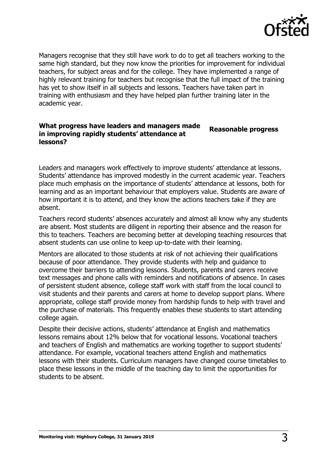

Managers recognise that they still have work to do to get all teachers working to the same high standard, but they now know the priorities for improvement for individual teachers, for subject areas and for the college. They have implemented a range of highly relevant training for teachers but recognise that the full impact of the training has yet to show itself in all subjects and lessons. Teachers have taken part in training with enthusiasm and they have helped plan further training later in the academic year.

#### **What progress have leaders and managers made in improving rapidly students' attendance at lessons? Reasonable progress**

Leaders and managers work effectively to improve students' attendance at lessons. Students' attendance has improved modestly in the current academic year. Teachers place much emphasis on the importance of students' attendance at lessons, both for learning and as an important behaviour that employers value. Students are aware of how important it is to attend, and they know the actions teachers take if they are absent.

Teachers record students' absences accurately and almost all know why any students are absent. Most students are diligent in reporting their absence and the reason for this to teachers. Teachers are becoming better at developing teaching resources that absent students can use online to keep up-to-date with their learning.

Mentors are allocated to those students at risk of not achieving their qualifications because of poor attendance. They provide students with help and guidance to overcome their barriers to attending lessons. Students, parents and carers receive text messages and phone calls with reminders and notifications of absence. In cases of persistent student absence, college staff work with staff from the local council to visit students and their parents and carers at home to develop support plans. Where appropriate, college staff provide money from hardship funds to help with travel and the purchase of materials. This frequently enables these students to start attending college again.

Despite their decisive actions, students' attendance at English and mathematics lessons remains about 12% below that for vocational lessons. Vocational teachers and teachers of English and mathematics are working together to support students' attendance. For example, vocational teachers attend English and mathematics lessons with their students. Curriculum managers have changed course timetables to place these lessons in the middle of the teaching day to limit the opportunities for students to be absent.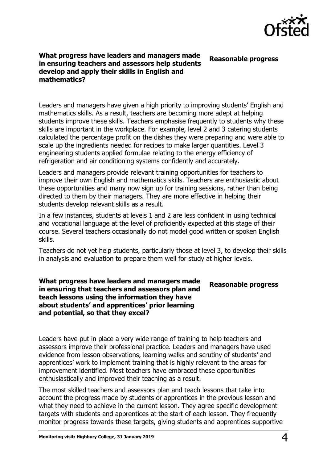

#### **What progress have leaders and managers made in ensuring teachers and assessors help students develop and apply their skills in English and mathematics? Reasonable progress**

Leaders and managers have given a high priority to improving students' English and mathematics skills. As a result, teachers are becoming more adept at helping students improve these skills. Teachers emphasise frequently to students why these skills are important in the workplace. For example, level 2 and 3 catering students calculated the percentage profit on the dishes they were preparing and were able to scale up the ingredients needed for recipes to make larger quantities. Level 3 engineering students applied formulae relating to the energy efficiency of refrigeration and air conditioning systems confidently and accurately.

Leaders and managers provide relevant training opportunities for teachers to improve their own English and mathematics skills. Teachers are enthusiastic about these opportunities and many now sign up for training sessions, rather than being directed to them by their managers. They are more effective in helping their students develop relevant skills as a result.

In a few instances, students at levels 1 and 2 are less confident in using technical and vocational language at the level of proficiently expected at this stage of their course. Several teachers occasionally do not model good written or spoken English skills.

Teachers do not yet help students, particularly those at level 3, to develop their skills in analysis and evaluation to prepare them well for study at higher levels.

### **What progress have leaders and managers made in ensuring that teachers and assessors plan and teach lessons using the information they have about students' and apprentices' prior learning and potential, so that they excel?**

## **Reasonable progress**

Leaders have put in place a very wide range of training to help teachers and assessors improve their professional practice. Leaders and managers have used evidence from lesson observations, learning walks and scrutiny of students' and apprentices' work to implement training that is highly relevant to the areas for improvement identified. Most teachers have embraced these opportunities enthusiastically and improved their teaching as a result.

The most skilled teachers and assessors plan and teach lessons that take into account the progress made by students or apprentices in the previous lesson and what they need to achieve in the current lesson. They agree specific development targets with students and apprentices at the start of each lesson. They frequently monitor progress towards these targets, giving students and apprentices supportive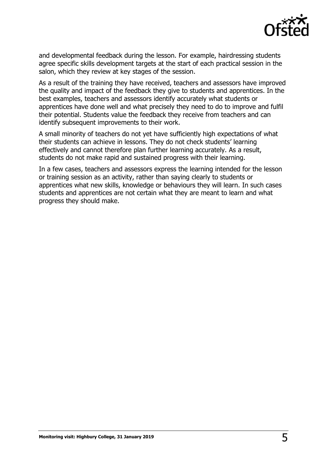

and developmental feedback during the lesson. For example, hairdressing students agree specific skills development targets at the start of each practical session in the salon, which they review at key stages of the session.

As a result of the training they have received, teachers and assessors have improved the quality and impact of the feedback they give to students and apprentices. In the best examples, teachers and assessors identify accurately what students or apprentices have done well and what precisely they need to do to improve and fulfil their potential. Students value the feedback they receive from teachers and can identify subsequent improvements to their work.

A small minority of teachers do not yet have sufficiently high expectations of what their students can achieve in lessons. They do not check students' learning effectively and cannot therefore plan further learning accurately. As a result, students do not make rapid and sustained progress with their learning.

In a few cases, teachers and assessors express the learning intended for the lesson or training session as an activity, rather than saying clearly to students or apprentices what new skills, knowledge or behaviours they will learn. In such cases students and apprentices are not certain what they are meant to learn and what progress they should make.